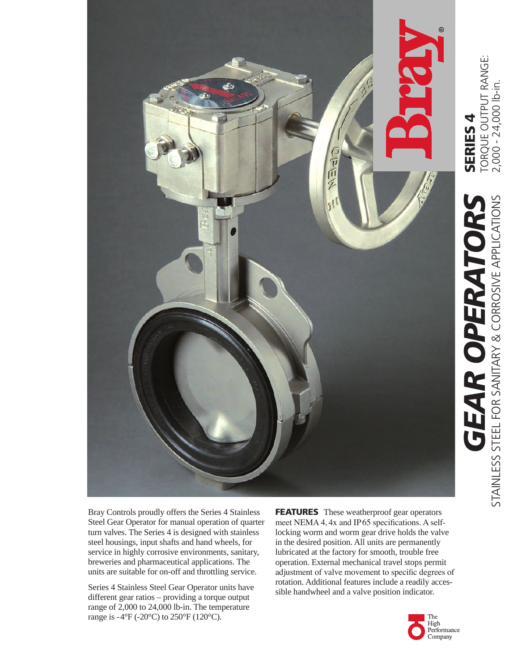

Torque Output range:

TORQUE OUTPUT RANGE:<br>2,000 - 24,000 lb-in. 2,000 - 24,000 lb-in.

Bray Controls proudly offers the Series 4 Stainless Steel Gear Operator for manual operation of quarter turn valves. The Series 4 is designed with stainless steel housings, input shafts and hand wheels, for service in highly corrosive environments, sanitary, breweries and pharmaceutical applications. The units are suitable for on-off and throttling service.

Series 4 Stainless Steel Gear Operator units have different gear ratios – providing a torque output range of 2,000 to 24,000 lb-in. The temperature range is  $-4\text{°F}$  ( $-20\text{°C}$ ) to  $250\text{°F}$  (120°C).

FEATURESThese weatherproof gear operators meet NEMA 4, 4x and IP 65 specifications. A selflocking worm and worm gear drive holds the valve in the desired position. All units are permanently lubricated at the factory for smooth, trouble free operation. External mechanical travel stops permit adjustment of valve movement to specific degrees of rotation. Additional features include a readily acces sible handwheel and a valve position indicator.